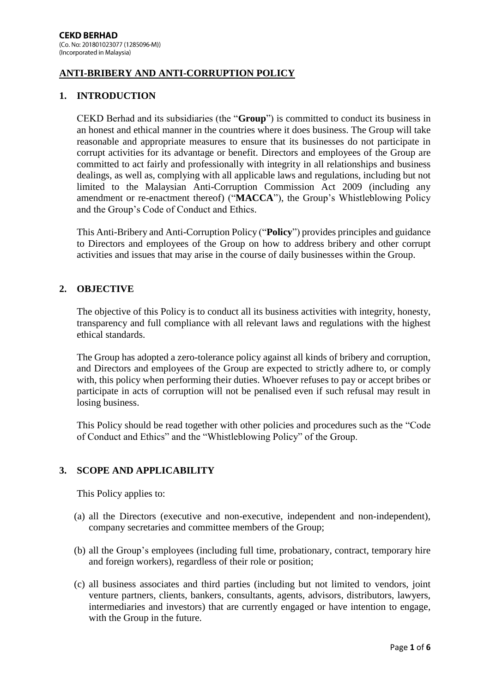# **ANTI-BRIBERY AND ANTI-CORRUPTION POLICY**

### **1. INTRODUCTION**

CEKD Berhad and its subsidiaries (the "**Group**") is committed to conduct its business in an honest and ethical manner in the countries where it does business. The Group will take reasonable and appropriate measures to ensure that its businesses do not participate in corrupt activities for its advantage or benefit. Directors and employees of the Group are committed to act fairly and professionally with integrity in all relationships and business dealings, as well as, complying with all applicable laws and regulations, including but not limited to the Malaysian Anti-Corruption Commission Act 2009 (including any amendment or re-enactment thereof) ("**MACCA**"), the Group's Whistleblowing Policy and the Group's Code of Conduct and Ethics.

This Anti-Bribery and Anti-Corruption Policy ("**Policy**") provides principles and guidance to Directors and employees of the Group on how to address bribery and other corrupt activities and issues that may arise in the course of daily businesses within the Group.

### **2. OBJECTIVE**

The objective of this Policy is to conduct all its business activities with integrity, honesty, transparency and full compliance with all relevant laws and regulations with the highest ethical standards.

The Group has adopted a zero-tolerance policy against all kinds of bribery and corruption, and Directors and employees of the Group are expected to strictly adhere to, or comply with, this policy when performing their duties. Whoever refuses to pay or accept bribes or participate in acts of corruption will not be penalised even if such refusal may result in losing business.

This Policy should be read together with other policies and procedures such as the "Code of Conduct and Ethics" and the "Whistleblowing Policy" of the Group.

### **3. SCOPE AND APPLICABILITY**

This Policy applies to:

- (a) all the Directors (executive and non-executive, independent and non-independent), company secretaries and committee members of the Group;
- (b) all the Group's employees (including full time, probationary, contract, temporary hire and foreign workers), regardless of their role or position;
- (c) all business associates and third parties (including but not limited to vendors, joint venture partners, clients, bankers, consultants, agents, advisors, distributors, lawyers, intermediaries and investors) that are currently engaged or have intention to engage, with the Group in the future.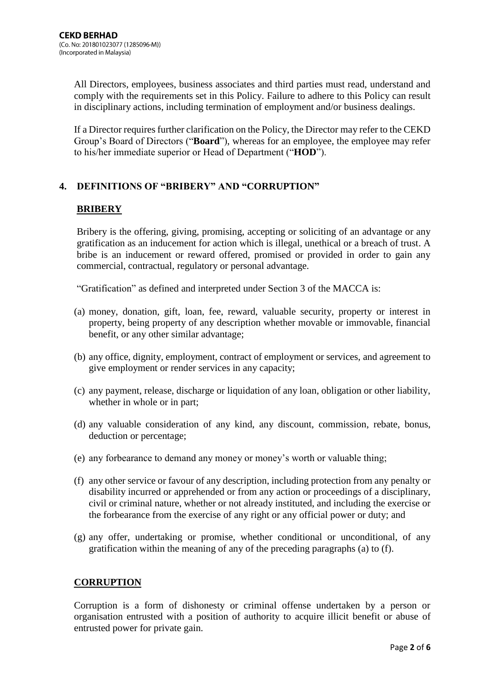All Directors, employees, business associates and third parties must read, understand and comply with the requirements set in this Policy. Failure to adhere to this Policy can result in disciplinary actions, including termination of employment and/or business dealings.

If a Director requires further clarification on the Policy, the Director may refer to the CEKD Group's Board of Directors ("**Board**"), whereas for an employee, the employee may refer to his/her immediate superior or Head of Department ("**HOD**").

# **4. DEFINITIONS OF "BRIBERY" AND "CORRUPTION"**

# **BRIBERY**

Bribery is the offering, giving, promising, accepting or soliciting of an advantage or any gratification as an inducement for action which is illegal, unethical or a breach of trust. A bribe is an inducement or reward offered, promised or provided in order to gain any commercial, contractual, regulatory or personal advantage.

"Gratification" as defined and interpreted under Section 3 of the MACCA is:

- (a) money, donation, gift, loan, fee, reward, valuable security, property or interest in property, being property of any description whether movable or immovable, financial benefit, or any other similar advantage;
- (b) any office, dignity, employment, contract of employment or services, and agreement to give employment or render services in any capacity;
- (c) any payment, release, discharge or liquidation of any loan, obligation or other liability, whether in whole or in part;
- (d) any valuable consideration of any kind, any discount, commission, rebate, bonus, deduction or percentage;
- (e) any forbearance to demand any money or money's worth or valuable thing;
- (f) any other service or favour of any description, including protection from any penalty or disability incurred or apprehended or from any action or proceedings of a disciplinary, civil or criminal nature, whether or not already instituted, and including the exercise or the forbearance from the exercise of any right or any official power or duty; and
- (g) any offer, undertaking or promise, whether conditional or unconditional, of any gratification within the meaning of any of the preceding paragraphs (a) to (f).

## **CORRUPTION**

Corruption is a form of dishonesty or criminal offense undertaken by a person or organisation entrusted with a position of authority to acquire illicit benefit or abuse of entrusted power for private gain.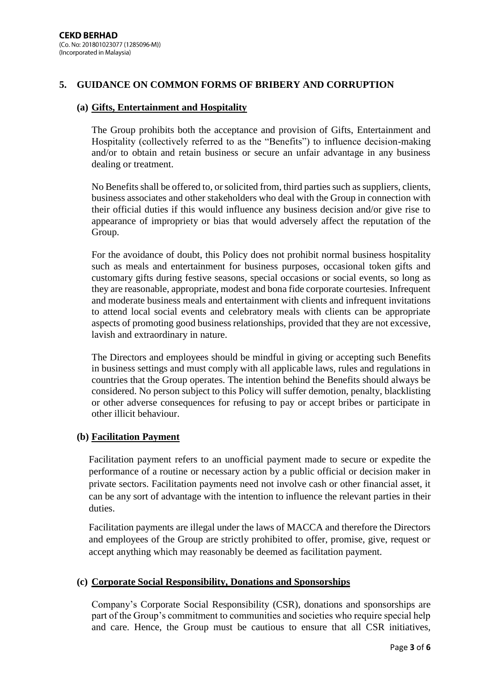### **5. GUIDANCE ON COMMON FORMS OF BRIBERY AND CORRUPTION**

### **(a) Gifts, Entertainment and Hospitality**

The Group prohibits both the acceptance and provision of Gifts, Entertainment and Hospitality (collectively referred to as the "Benefits") to influence decision-making and/or to obtain and retain business or secure an unfair advantage in any business dealing or treatment.

No Benefits shall be offered to, or solicited from, third parties such as suppliers, clients, business associates and other stakeholders who deal with the Group in connection with their official duties if this would influence any business decision and/or give rise to appearance of impropriety or bias that would adversely affect the reputation of the Group.

For the avoidance of doubt, this Policy does not prohibit normal business hospitality such as meals and entertainment for business purposes, occasional token gifts and customary gifts during festive seasons, special occasions or social events, so long as they are reasonable, appropriate, modest and bona fide corporate courtesies. Infrequent and moderate business meals and entertainment with clients and infrequent invitations to attend local social events and celebratory meals with clients can be appropriate aspects of promoting good business relationships, provided that they are not excessive, lavish and extraordinary in nature.

The Directors and employees should be mindful in giving or accepting such Benefits in business settings and must comply with all applicable laws, rules and regulations in countries that the Group operates. The intention behind the Benefits should always be considered. No person subject to this Policy will suffer demotion, penalty, blacklisting or other adverse consequences for refusing to pay or accept bribes or participate in other illicit behaviour.

### **(b) Facilitation Payment**

Facilitation payment refers to an unofficial payment made to secure or expedite the performance of a routine or necessary action by a public official or decision maker in private sectors. Facilitation payments need not involve cash or other financial asset, it can be any sort of advantage with the intention to influence the relevant parties in their duties.

Facilitation payments are illegal under the laws of MACCA and therefore the Directors and employees of the Group are strictly prohibited to offer, promise, give, request or accept anything which may reasonably be deemed as facilitation payment.

#### **(c) Corporate Social Responsibility, Donations and Sponsorships**

Company's Corporate Social Responsibility (CSR), donations and sponsorships are part of the Group's commitment to communities and societies who require special help and care. Hence, the Group must be cautious to ensure that all CSR initiatives,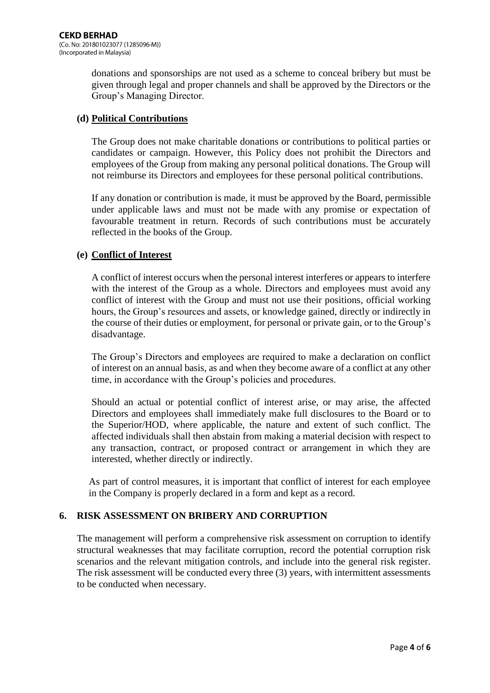donations and sponsorships are not used as a scheme to conceal bribery but must be given through legal and proper channels and shall be approved by the Directors or the Group's Managing Director.

### **(d) Political Contributions**

The Group does not make charitable donations or contributions to political parties or candidates or campaign. However, this Policy does not prohibit the Directors and employees of the Group from making any personal political donations. The Group will not reimburse its Directors and employees for these personal political contributions.

If any donation or contribution is made, it must be approved by the Board, permissible under applicable laws and must not be made with any promise or expectation of favourable treatment in return. Records of such contributions must be accurately reflected in the books of the Group.

## **(e) Conflict of Interest**

A conflict of interest occurs when the personal interest interferes or appears to interfere with the interest of the Group as a whole. Directors and employees must avoid any conflict of interest with the Group and must not use their positions, official working hours, the Group's resources and assets, or knowledge gained, directly or indirectly in the course of their duties or employment, for personal or private gain, or to the Group's disadvantage.

The Group's Directors and employees are required to make a declaration on conflict of interest on an annual basis, as and when they become aware of a conflict at any other time, in accordance with the Group's policies and procedures.

Should an actual or potential conflict of interest arise, or may arise, the affected Directors and employees shall immediately make full disclosures to the Board or to the Superior/HOD, where applicable, the nature and extent of such conflict. The affected individuals shall then abstain from making a material decision with respect to any transaction, contract, or proposed contract or arrangement in which they are interested, whether directly or indirectly.

As part of control measures, it is important that conflict of interest for each employee in the Company is properly declared in a form and kept as a record.

## **6. RISK ASSESSMENT ON BRIBERY AND CORRUPTION**

The management will perform a comprehensive risk assessment on corruption to identify structural weaknesses that may facilitate corruption, record the potential corruption risk scenarios and the relevant mitigation controls, and include into the general risk register. The risk assessment will be conducted every three (3) years, with intermittent assessments to be conducted when necessary.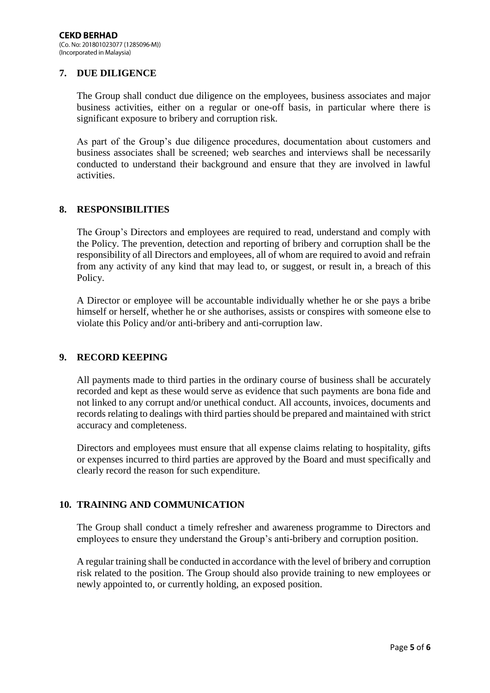## **7. DUE DILIGENCE**

The Group shall conduct due diligence on the employees, business associates and major business activities, either on a regular or one-off basis, in particular where there is significant exposure to bribery and corruption risk.

As part of the Group's due diligence procedures, documentation about customers and business associates shall be screened; web searches and interviews shall be necessarily conducted to understand their background and ensure that they are involved in lawful activities.

### **8. RESPONSIBILITIES**

The Group's Directors and employees are required to read, understand and comply with the Policy. The prevention, detection and reporting of bribery and corruption shall be the responsibility of all Directors and employees, all of whom are required to avoid and refrain from any activity of any kind that may lead to, or suggest, or result in, a breach of this Policy.

A Director or employee will be accountable individually whether he or she pays a bribe himself or herself, whether he or she authorises, assists or conspires with someone else to violate this Policy and/or anti-bribery and anti-corruption law.

### **9. RECORD KEEPING**

All payments made to third parties in the ordinary course of business shall be accurately recorded and kept as these would serve as evidence that such payments are bona fide and not linked to any corrupt and/or unethical conduct. All accounts, invoices, documents and records relating to dealings with third parties should be prepared and maintained with strict accuracy and completeness.

Directors and employees must ensure that all expense claims relating to hospitality, gifts or expenses incurred to third parties are approved by the Board and must specifically and clearly record the reason for such expenditure.

## **10. TRAINING AND COMMUNICATION**

The Group shall conduct a timely refresher and awareness programme to Directors and employees to ensure they understand the Group's anti-bribery and corruption position.

A regular training shall be conducted in accordance with the level of bribery and corruption risk related to the position. The Group should also provide training to new employees or newly appointed to, or currently holding, an exposed position.